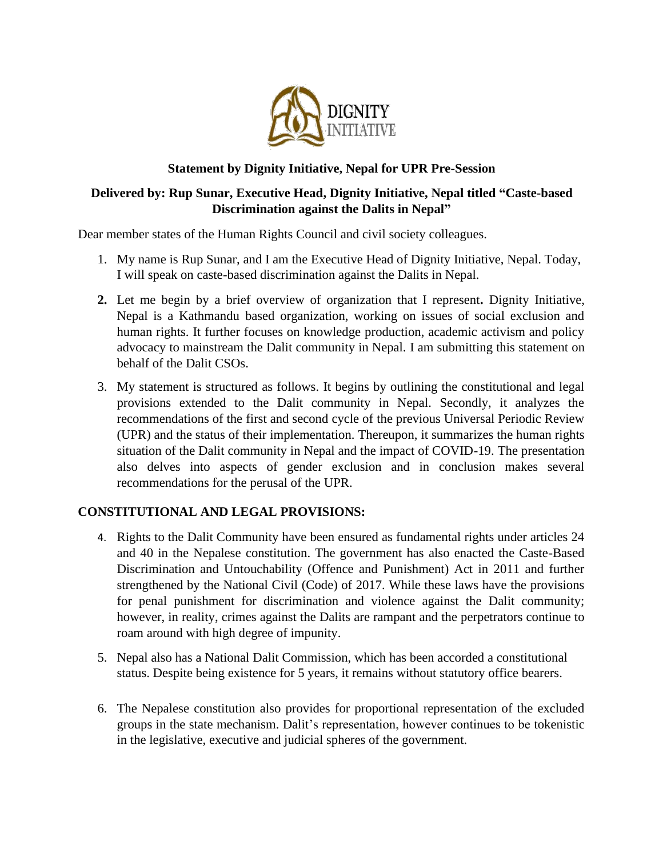

## **Statement by Dignity Initiative, Nepal for UPR Pre-Session**

# **Delivered by: Rup Sunar, Executive Head, Dignity Initiative, Nepal titled "Caste-based Discrimination against the Dalits in Nepal"**

Dear member states of the Human Rights Council and civil society colleagues.

- 1. My name is Rup Sunar, and I am the Executive Head of Dignity Initiative, Nepal. Today, I will speak on caste-based discrimination against the Dalits in Nepal.
- **2.** Let me begin by a brief overview of organization that I represent**.** Dignity Initiative, Nepal is a Kathmandu based organization, working on issues of social exclusion and human rights. It further focuses on knowledge production, academic activism and policy advocacy to mainstream the Dalit community in Nepal. I am submitting this statement on behalf of the Dalit CSOs.
- 3. My statement is structured as follows. It begins by outlining the constitutional and legal provisions extended to the Dalit community in Nepal. Secondly, it analyzes the recommendations of the first and second cycle of the previous Universal Periodic Review (UPR) and the status of their implementation. Thereupon, it summarizes the human rights situation of the Dalit community in Nepal and the impact of COVID-19. The presentation also delves into aspects of gender exclusion and in conclusion makes several recommendations for the perusal of the UPR.

## **CONSTITUTIONAL AND LEGAL PROVISIONS:**

- 4. Rights to the Dalit Community have been ensured as fundamental rights under articles 24 and 40 in the Nepalese constitution. The government has also enacted the Caste-Based Discrimination and Untouchability (Offence and Punishment) Act in 2011 and further strengthened by the National Civil (Code) of 2017. While these laws have the provisions for penal punishment for discrimination and violence against the Dalit community; however, in reality, crimes against the Dalits are rampant and the perpetrators continue to roam around with high degree of impunity.
- 5. Nepal also has a National Dalit Commission, which has been accorded a constitutional status. Despite being existence for 5 years, it remains without statutory office bearers.
- 6. The Nepalese constitution also provides for proportional representation of the excluded groups in the state mechanism. Dalit's representation, however continues to be tokenistic in the legislative, executive and judicial spheres of the government.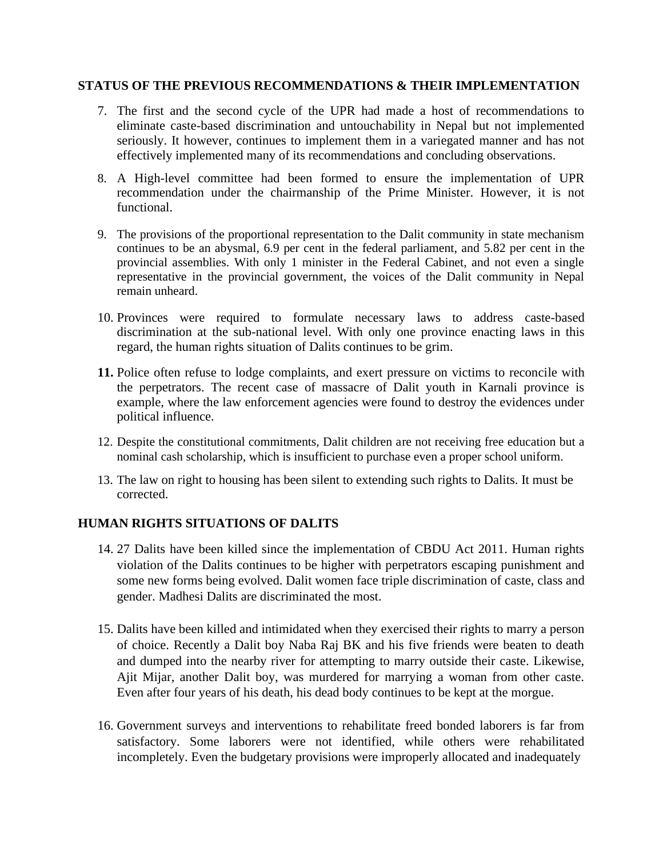#### **STATUS OF THE PREVIOUS RECOMMENDATIONS & THEIR IMPLEMENTATION**

- 7. The first and the second cycle of the UPR had made a host of recommendations to eliminate caste-based discrimination and untouchability in Nepal but not implemented seriously. It however, continues to implement them in a variegated manner and has not effectively implemented many of its recommendations and concluding observations.
- 8. A High-level committee had been formed to ensure the implementation of UPR recommendation under the chairmanship of the Prime Minister. However, it is not functional.
- 9. The provisions of the proportional representation to the Dalit community in state mechanism continues to be an abysmal, 6.9 per cent in the federal parliament, and 5.82 per cent in the provincial assemblies. With only 1 minister in the Federal Cabinet, and not even a single representative in the provincial government, the voices of the Dalit community in Nepal remain unheard.
- 10. Provinces were required to formulate necessary laws to address caste-based discrimination at the sub-national level. With only one province enacting laws in this regard, the human rights situation of Dalits continues to be grim.
- **11.** Police often refuse to lodge complaints, and exert pressure on victims to reconcile with the perpetrators. The recent case of massacre of Dalit youth in Karnali province is example, where the law enforcement agencies were found to destroy the evidences under political influence.
- 12. Despite the constitutional commitments, Dalit children are not receiving free education but a nominal cash scholarship, which is insufficient to purchase even a proper school uniform.
- 13. The law on right to housing has been silent to extending such rights to Dalits. It must be corrected.

## **HUMAN RIGHTS SITUATIONS OF DALITS**

- 14. 27 Dalits have been killed since the implementation of CBDU Act 2011. Human rights violation of the Dalits continues to be higher with perpetrators escaping punishment and some new forms being evolved. Dalit women face triple discrimination of caste, class and gender. Madhesi Dalits are discriminated the most.
- 15. Dalits have been killed and intimidated when they exercised their rights to marry a person of choice. Recently a Dalit boy Naba Raj BK and his five friends were beaten to death and dumped into the nearby river for attempting to marry outside their caste. Likewise, Ajit Mijar, another Dalit boy, was murdered for marrying a woman from other caste. Even after four years of his death, his dead body continues to be kept at the morgue.
- 16. Government surveys and interventions to rehabilitate freed bonded laborers is far from satisfactory. Some laborers were not identified, while others were rehabilitated incompletely. Even the budgetary provisions were improperly allocated and inadequately